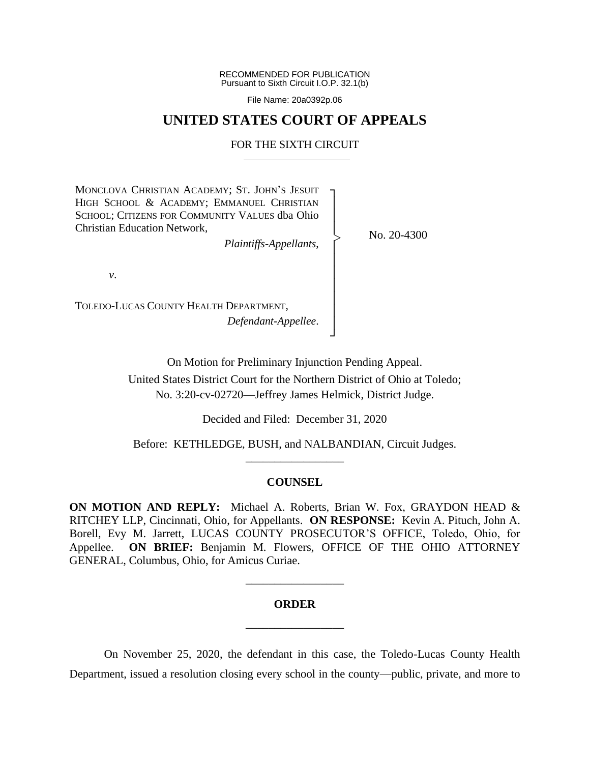RECOMMENDED FOR PUBLICATION Pursuant to Sixth Circuit I.O.P. 32.1(b)

File Name: 20a0392p.06

## **UNITED STATES COURT OF APPEALS**

#### FOR THE SIXTH CIRCUIT

┐ │ │ │ │ │ │ │ │ │ │ ┘

|<br>|<br>|

MONCLOVA CHRISTIAN ACADEMY; ST. JOHN'S JESUIT HIGH SCHOOL & ACADEMY; EMMANUEL CHRISTIAN SCHOOL; CITIZENS FOR COMMUNITY VALUES dba Ohio Christian Education Network,

*Plaintiffs-Appellants*,

No. 20-4300

*v*.

TOLEDO-LUCAS COUNTY HEALTH DEPARTMENT, *Defendant-Appellee*.

On Motion for Preliminary Injunction Pending Appeal.

United States District Court for the Northern District of Ohio at Toledo; No. 3:20-cv-02720—Jeffrey James Helmick, District Judge.

Decided and Filed: December 31, 2020

Before: KETHLEDGE, BUSH, and NALBANDIAN, Circuit Judges. \_\_\_\_\_\_\_\_\_\_\_\_\_\_\_\_\_

### **COUNSEL**

**ON MOTION AND REPLY:** Michael A. Roberts, Brian W. Fox, GRAYDON HEAD & RITCHEY LLP, Cincinnati, Ohio, for Appellants. **ON RESPONSE:** Kevin A. Pituch, John A. Borell, Evy M. Jarrett, LUCAS COUNTY PROSECUTOR'S OFFICE, Toledo, Ohio, for Appellee. **ON BRIEF:** Benjamin M. Flowers, OFFICE OF THE OHIO ATTORNEY GENERAL, Columbus, Ohio, for Amicus Curiae.

# **ORDER** \_\_\_\_\_\_\_\_\_\_\_\_\_\_\_\_\_

\_\_\_\_\_\_\_\_\_\_\_\_\_\_\_\_\_

On November 25, 2020, the defendant in this case, the Toledo-Lucas County Health Department, issued a resolution closing every school in the county—public, private, and more to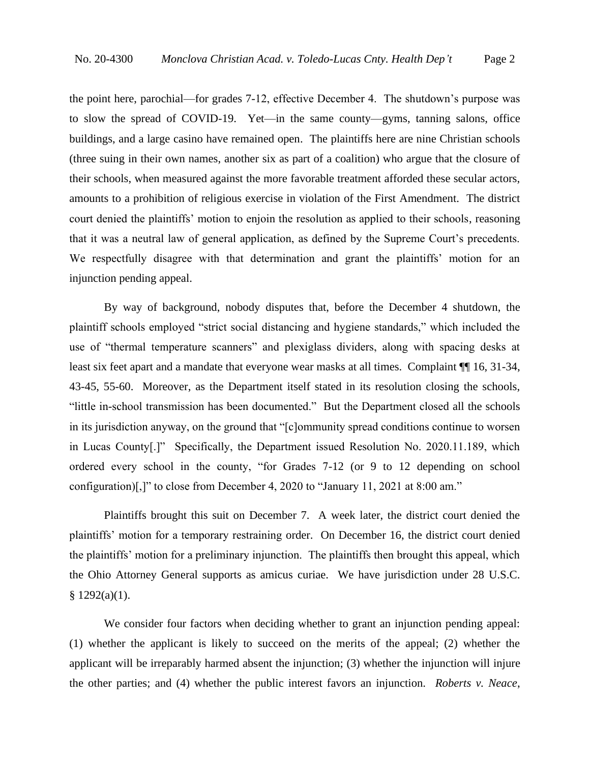the point here, parochial—for grades 7-12, effective December 4. The shutdown's purpose was to slow the spread of COVID-19. Yet—in the same county—gyms, tanning salons, office buildings, and a large casino have remained open. The plaintiffs here are nine Christian schools (three suing in their own names, another six as part of a coalition) who argue that the closure of their schools, when measured against the more favorable treatment afforded these secular actors, amounts to a prohibition of religious exercise in violation of the First Amendment. The district court denied the plaintiffs' motion to enjoin the resolution as applied to their schools, reasoning that it was a neutral law of general application, as defined by the Supreme Court's precedents. We respectfully disagree with that determination and grant the plaintiffs' motion for an injunction pending appeal.

By way of background, nobody disputes that, before the December 4 shutdown, the plaintiff schools employed "strict social distancing and hygiene standards," which included the use of "thermal temperature scanners" and plexiglass dividers, along with spacing desks at least six feet apart and a mandate that everyone wear masks at all times. Complaint ¶¶ 16, 31-34, 43-45, 55-60. Moreover, as the Department itself stated in its resolution closing the schools, "little in-school transmission has been documented." But the Department closed all the schools in its jurisdiction anyway, on the ground that "[c]ommunity spread conditions continue to worsen in Lucas County[.]" Specifically, the Department issued Resolution No. 2020.11.189, which ordered every school in the county, "for Grades 7-12 (or 9 to 12 depending on school configuration)[,]" to close from December 4, 2020 to "January 11, 2021 at 8:00 am."

Plaintiffs brought this suit on December 7. A week later, the district court denied the plaintiffs' motion for a temporary restraining order. On December 16, the district court denied the plaintiffs' motion for a preliminary injunction. The plaintiffs then brought this appeal, which the Ohio Attorney General supports as amicus curiae. We have jurisdiction under 28 U.S.C.  $§ 1292(a)(1).$ 

We consider four factors when deciding whether to grant an injunction pending appeal: (1) whether the applicant is likely to succeed on the merits of the appeal; (2) whether the applicant will be irreparably harmed absent the injunction; (3) whether the injunction will injure the other parties; and (4) whether the public interest favors an injunction. *Roberts v. Neace*,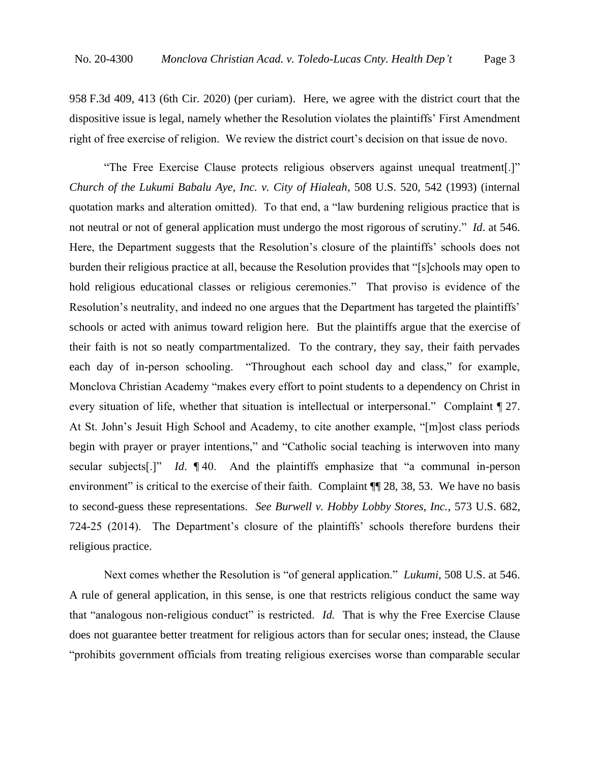958 F.3d 409, 413 (6th Cir. 2020) (per curiam). Here, we agree with the district court that the dispositive issue is legal, namely whether the Resolution violates the plaintiffs' First Amendment right of free exercise of religion. We review the district court's decision on that issue de novo.

"The Free Exercise Clause protects religious observers against unequal treatment[.]" *Church of the Lukumi Babalu Aye, Inc. v. City of Hialeah*, 508 U.S. 520, 542 (1993) (internal quotation marks and alteration omitted). To that end, a "law burdening religious practice that is not neutral or not of general application must undergo the most rigorous of scrutiny." *Id*. at 546. Here, the Department suggests that the Resolution's closure of the plaintiffs' schools does not burden their religious practice at all, because the Resolution provides that "[s]chools may open to hold religious educational classes or religious ceremonies." That proviso is evidence of the Resolution's neutrality, and indeed no one argues that the Department has targeted the plaintiffs' schools or acted with animus toward religion here. But the plaintiffs argue that the exercise of their faith is not so neatly compartmentalized. To the contrary, they say, their faith pervades each day of in-person schooling. "Throughout each school day and class," for example, Monclova Christian Academy "makes every effort to point students to a dependency on Christ in every situation of life, whether that situation is intellectual or interpersonal." Complaint ¶ 27. At St. John's Jesuit High School and Academy, to cite another example, "[m]ost class periods begin with prayer or prayer intentions," and "Catholic social teaching is interwoven into many secular subjects[.]" *Id*. ¶ 40. And the plaintiffs emphasize that "a communal in-person environment" is critical to the exercise of their faith. Complaint  $\P$  28, 38, 53. We have no basis to second-guess these representations. *See Burwell v. Hobby Lobby Stores, Inc.*, 573 U.S. 682, 724-25 (2014). The Department's closure of the plaintiffs' schools therefore burdens their religious practice.

Next comes whether the Resolution is "of general application." *Lukumi*, 508 U.S. at 546. A rule of general application, in this sense, is one that restricts religious conduct the same way that "analogous non-religious conduct" is restricted. *Id.* That is why the Free Exercise Clause does not guarantee better treatment for religious actors than for secular ones; instead, the Clause "prohibits government officials from treating religious exercises worse than comparable secular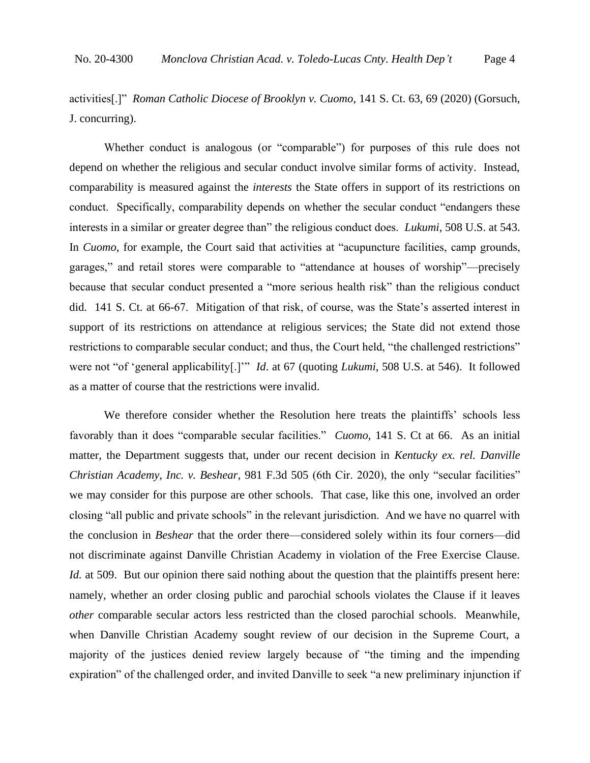activities[.]" *Roman Catholic Diocese of Brooklyn v. Cuomo*, 141 S. Ct. 63, 69 (2020) (Gorsuch, J. concurring).

Whether conduct is analogous (or "comparable") for purposes of this rule does not depend on whether the religious and secular conduct involve similar forms of activity. Instead, comparability is measured against the *interests* the State offers in support of its restrictions on conduct. Specifically, comparability depends on whether the secular conduct "endangers these interests in a similar or greater degree than" the religious conduct does. *Lukumi*, 508 U.S. at 543. In *Cuomo*, for example, the Court said that activities at "acupuncture facilities, camp grounds, garages," and retail stores were comparable to "attendance at houses of worship"—precisely because that secular conduct presented a "more serious health risk" than the religious conduct did. 141 S. Ct. at 66-67. Mitigation of that risk, of course, was the State's asserted interest in support of its restrictions on attendance at religious services; the State did not extend those restrictions to comparable secular conduct; and thus, the Court held, "the challenged restrictions" were not "of 'general applicability[.]'" *Id*. at 67 (quoting *Lukumi*, 508 U.S. at 546). It followed as a matter of course that the restrictions were invalid.

We therefore consider whether the Resolution here treats the plaintiffs' schools less favorably than it does "comparable secular facilities." *Cuomo*, 141 S. Ct at 66. As an initial matter, the Department suggests that, under our recent decision in *Kentucky ex. rel. Danville Christian Academy, Inc. v. Beshear*, 981 F.3d 505 (6th Cir. 2020), the only "secular facilities" we may consider for this purpose are other schools. That case, like this one, involved an order closing "all public and private schools" in the relevant jurisdiction. And we have no quarrel with the conclusion in *Beshear* that the order there—considered solely within its four corners—did not discriminate against Danville Christian Academy in violation of the Free Exercise Clause. *Id.* at 509. But our opinion there said nothing about the question that the plaintiffs present here: namely, whether an order closing public and parochial schools violates the Clause if it leaves *other* comparable secular actors less restricted than the closed parochial schools. Meanwhile, when Danville Christian Academy sought review of our decision in the Supreme Court, a majority of the justices denied review largely because of "the timing and the impending expiration" of the challenged order, and invited Danville to seek "a new preliminary injunction if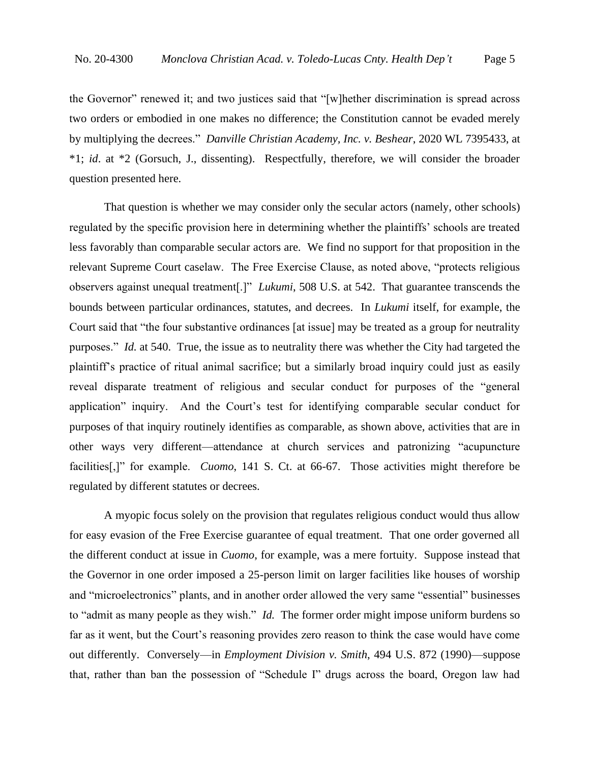the Governor" renewed it; and two justices said that "[w]hether discrimination is spread across two orders or embodied in one makes no difference; the Constitution cannot be evaded merely by multiplying the decrees." *Danville Christian Academy, Inc. v. Beshear*, 2020 WL 7395433, at \*1; *id*. at \*2 (Gorsuch, J., dissenting). Respectfully, therefore, we will consider the broader question presented here.

That question is whether we may consider only the secular actors (namely, other schools) regulated by the specific provision here in determining whether the plaintiffs' schools are treated less favorably than comparable secular actors are. We find no support for that proposition in the relevant Supreme Court caselaw. The Free Exercise Clause, as noted above, "protects religious observers against unequal treatment[.]" *Lukumi*, 508 U.S. at 542. That guarantee transcends the bounds between particular ordinances, statutes, and decrees. In *Lukumi* itself, for example, the Court said that "the four substantive ordinances [at issue] may be treated as a group for neutrality purposes." *Id.* at 540. True, the issue as to neutrality there was whether the City had targeted the plaintiff's practice of ritual animal sacrifice; but a similarly broad inquiry could just as easily reveal disparate treatment of religious and secular conduct for purposes of the "general application" inquiry. And the Court's test for identifying comparable secular conduct for purposes of that inquiry routinely identifies as comparable, as shown above, activities that are in other ways very different—attendance at church services and patronizing "acupuncture facilities[,]" for example. *Cuomo*, 141 S. Ct. at 66-67. Those activities might therefore be regulated by different statutes or decrees.

A myopic focus solely on the provision that regulates religious conduct would thus allow for easy evasion of the Free Exercise guarantee of equal treatment. That one order governed all the different conduct at issue in *Cuomo*, for example, was a mere fortuity. Suppose instead that the Governor in one order imposed a 25-person limit on larger facilities like houses of worship and "microelectronics" plants, and in another order allowed the very same "essential" businesses to "admit as many people as they wish." *Id.* The former order might impose uniform burdens so far as it went, but the Court's reasoning provides zero reason to think the case would have come out differently. Conversely—in *Employment Division v. Smith*, 494 U.S. 872 (1990)—suppose that, rather than ban the possession of "Schedule I" drugs across the board, Oregon law had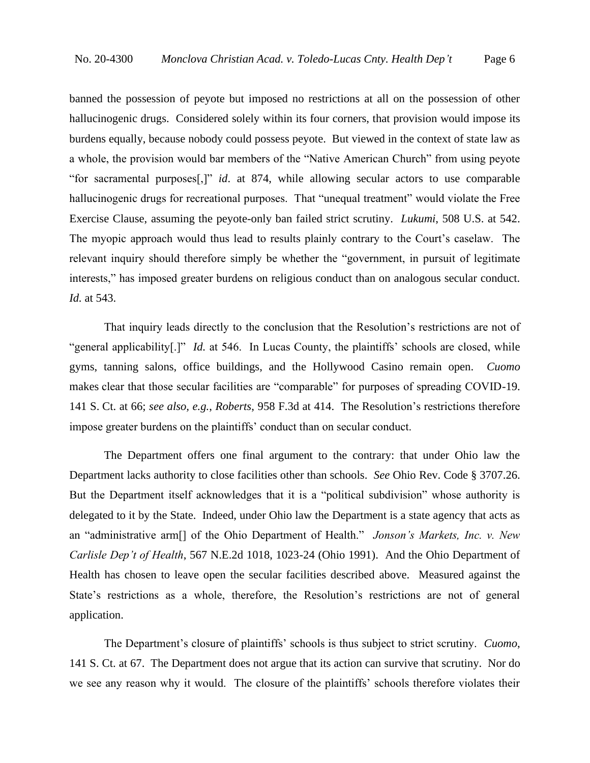banned the possession of peyote but imposed no restrictions at all on the possession of other hallucinogenic drugs. Considered solely within its four corners, that provision would impose its burdens equally, because nobody could possess peyote. But viewed in the context of state law as a whole, the provision would bar members of the "Native American Church" from using peyote "for sacramental purposes[,]" *id*. at 874, while allowing secular actors to use comparable hallucinogenic drugs for recreational purposes. That "unequal treatment" would violate the Free Exercise Clause, assuming the peyote-only ban failed strict scrutiny. *Lukumi*, 508 U.S. at 542. The myopic approach would thus lead to results plainly contrary to the Court's caselaw. The relevant inquiry should therefore simply be whether the "government, in pursuit of legitimate interests," has imposed greater burdens on religious conduct than on analogous secular conduct. *Id.* at 543.

That inquiry leads directly to the conclusion that the Resolution's restrictions are not of "general applicability<sup>[1]"</sup> *Id.* at 546. In Lucas County, the plaintiffs' schools are closed, while gyms, tanning salons, office buildings, and the Hollywood Casino remain open. *Cuomo*  makes clear that those secular facilities are "comparable" for purposes of spreading COVID-19. 141 S. Ct. at 66; *see also, e.g.*, *Roberts*, 958 F.3d at 414. The Resolution's restrictions therefore impose greater burdens on the plaintiffs' conduct than on secular conduct.

The Department offers one final argument to the contrary: that under Ohio law the Department lacks authority to close facilities other than schools. *See* Ohio Rev. Code § 3707.26. But the Department itself acknowledges that it is a "political subdivision" whose authority is delegated to it by the State. Indeed, under Ohio law the Department is a state agency that acts as an "administrative arm[] of the Ohio Department of Health." *Jonson's Markets, Inc. v. New Carlisle Dep't of Health*, 567 N.E.2d 1018, 1023-24 (Ohio 1991). And the Ohio Department of Health has chosen to leave open the secular facilities described above. Measured against the State's restrictions as a whole, therefore, the Resolution's restrictions are not of general application.

The Department's closure of plaintiffs' schools is thus subject to strict scrutiny. *Cuomo*, 141 S. Ct. at 67. The Department does not argue that its action can survive that scrutiny. Nor do we see any reason why it would. The closure of the plaintiffs' schools therefore violates their